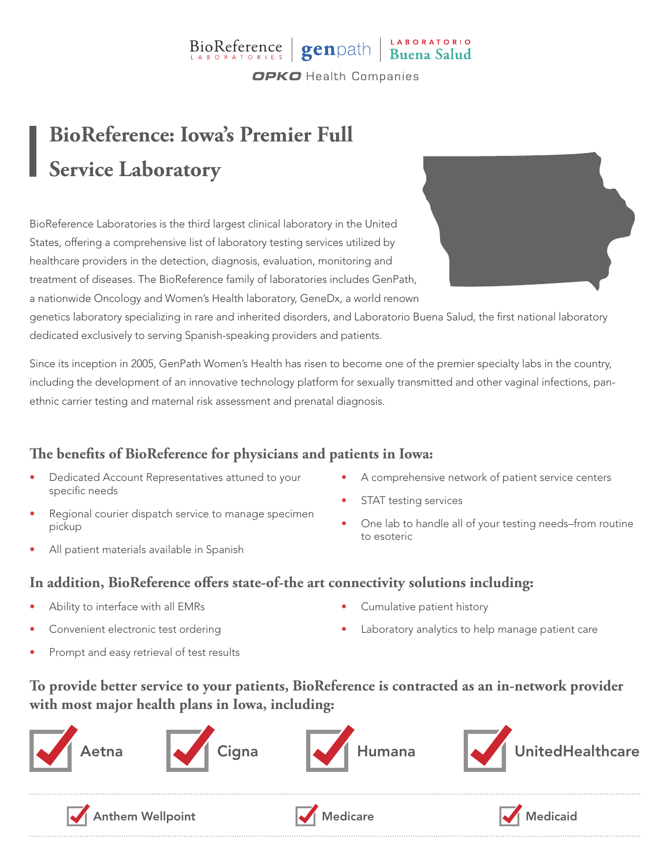### BioReference genpath Buena Salud **OPKO** Health Companies

## **BioReference: Iowa's Premier Full Service Laboratory**

BioReference Laboratories is the third largest clinical laboratory in the United States, offering a comprehensive list of laboratory testing services utilized by healthcare providers in the detection, diagnosis, evaluation, monitoring and treatment of diseases. The BioReference family of laboratories includes GenPath, a nationwide Oncology and Women's Health laboratory, GeneDx, a world renown

genetics laboratory specializing in rare and inherited disorders, and Laboratorio Buena Salud, the first national laboratory dedicated exclusively to serving Spanish-speaking providers and patients.

Since its inception in 2005, GenPath Women's Health has risen to become one of the premier specialty labs in the country, including the development of an innovative technology platform for sexually transmitted and other vaginal infections, panethnic carrier testing and maternal risk assessment and prenatal diagnosis.

#### **The benefits of BioReference for physicians and patients in Iowa:**

- Dedicated Account Representatives attuned to your specific needs
- Regional courier dispatch service to manage specimen pickup
- All patient materials available in Spanish
- A comprehensive network of patient service centers
- STAT testing services
- One lab to handle all of your testing needs–from routine to esoteric

#### **In addition, BioReference offers state-of-the art connectivity solutions including:**

- Ability to interface with all EMRs
- Convenient electronic test ordering
- Prompt and easy retrieval of test results
- Cumulative patient history
- Laboratory analytics to help manage patient care

#### **To provide better service to your patients, BioReference is contracted as an in-network provider with most major health plans in Iowa, including:**